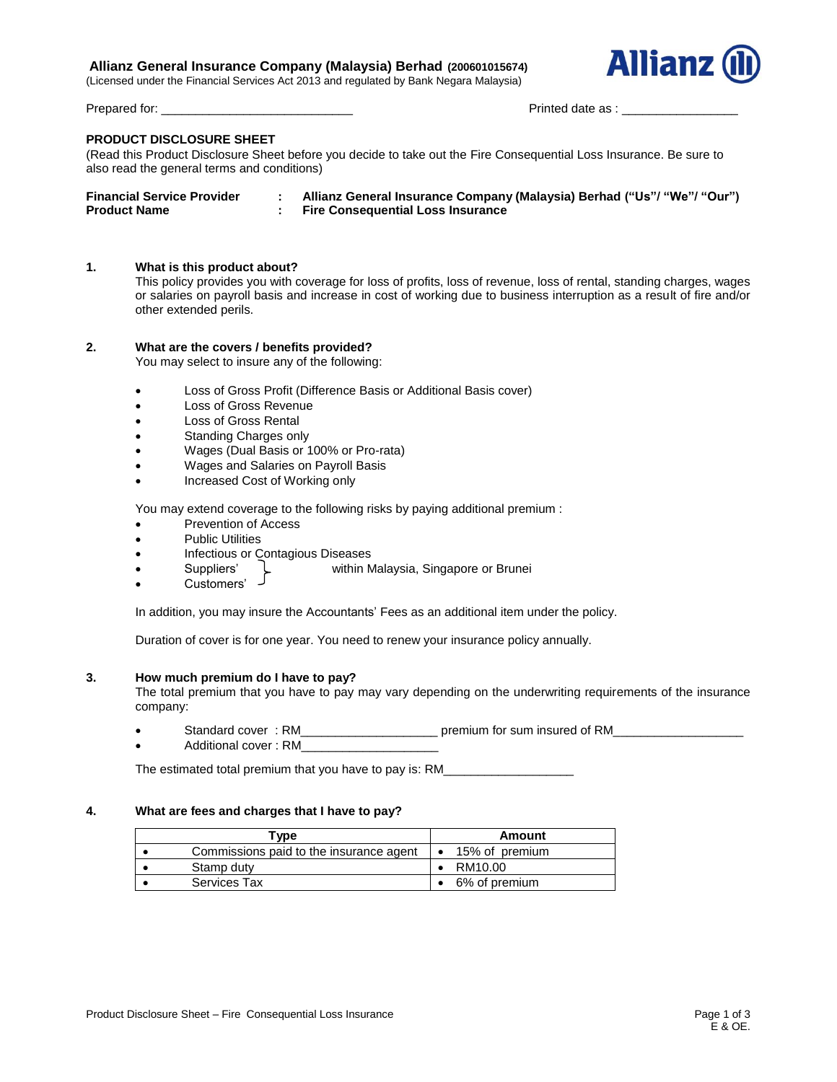# **Allianz General Insurance Company (Malaysia) Berhad (200601015674)**

(Licensed under the Financial Services Act 2013 and regulated by Bank Negara Malaysia)



Prepared for: \_\_\_\_\_\_\_\_\_\_\_\_\_\_\_\_\_\_\_\_\_\_\_\_\_\_\_\_ Printed date as : \_\_\_\_\_\_\_\_\_\_\_\_\_\_\_\_\_

# **PRODUCT DISCLOSURE SHEET**

(Read this Product Disclosure Sheet before you decide to take out the Fire Consequential Loss Insurance. Be sure to also read the general terms and conditions)

| <b>Financial Service Provider</b> | Allianz General Insurance Company (Malaysia) Berhad ("Us"/ "We"/ "Our") |
|-----------------------------------|-------------------------------------------------------------------------|
| <b>Product Name</b>               | <b>Fire Consequential Loss Insurance</b>                                |

## **1. What is this product about?**

This policy provides you with coverage for loss of profits, loss of revenue, loss of rental, standing charges, wages or salaries on payroll basis and increase in cost of working due to business interruption as a result of fire and/or other extended perils.

## **2. What are the covers / benefits provided?**

You may select to insure any of the following:

- Loss of Gross Profit (Difference Basis or Additional Basis cover)
- Loss of Gross Revenue
- Loss of Gross Rental
- Standing Charges only
- Wages (Dual Basis or 100% or Pro-rata)
- Wages and Salaries on Payroll Basis
- Increased Cost of Working only

You may extend coverage to the following risks by paying additional premium :

- Prevention of Access
- Public Utilities
- Infectious or Contagious Diseases
- Suppliers' within Malaysia, Singapore or Brunei
- Customers'

In addition, you may insure the Accountants' Fees as an additional item under the policy.

Duration of cover is for one year. You need to renew your insurance policy annually.

#### **3. How much premium do I have to pay?**

The total premium that you have to pay may vary depending on the underwriting requirements of the insurance company:

- Standard cover : RM \_ \_ \_ \_ \_ \_ \_ \_ \_ \_ premium for sum insured of RM
- Additional cover: RM

The estimated total premium that you have to pay is: RM

## **4. What are fees and charges that I have to pay?**

| Type |                                         |  | Amount         |  |  |
|------|-----------------------------------------|--|----------------|--|--|
|      | Commissions paid to the insurance agent |  | 15% of premium |  |  |
|      | Stamp duty                              |  | RM10.00        |  |  |
|      | <b>Services Tax</b>                     |  | 6% of premium  |  |  |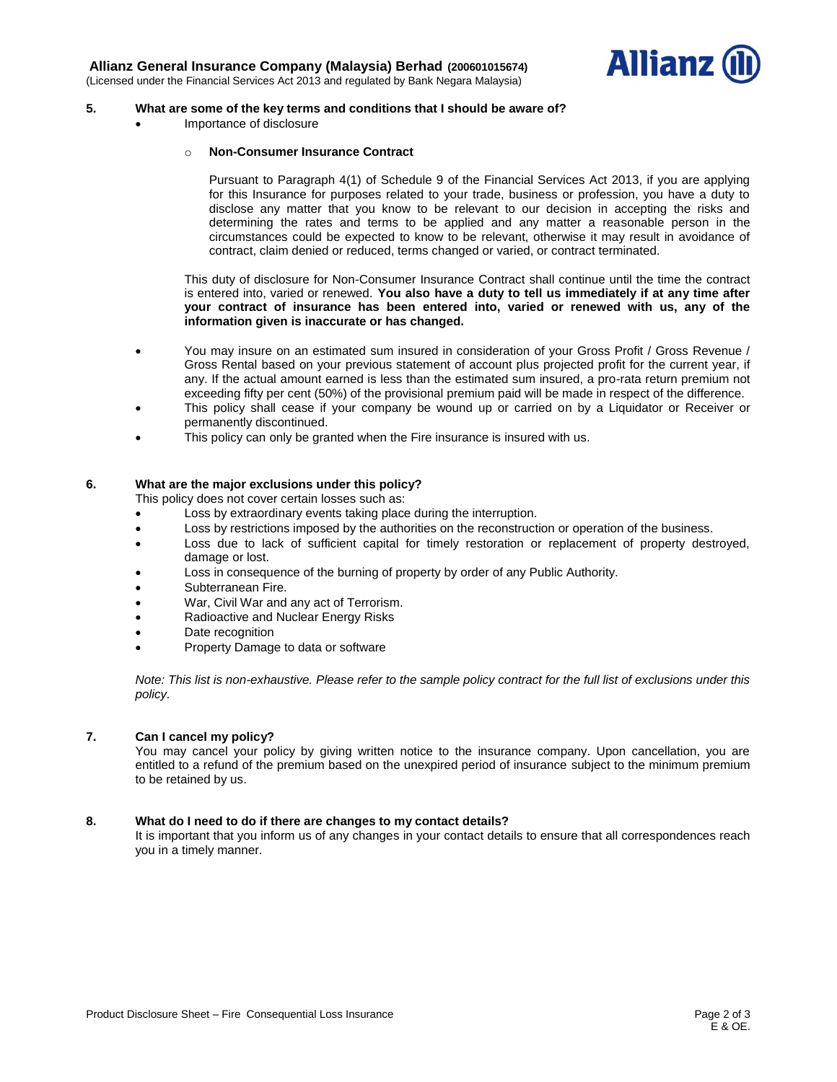

# **5. What are some of the key terms and conditions that I should be aware of?**

Importance of disclosure

## o **Non-Consumer Insurance Contract**

Pursuant to Paragraph 4(1) of Schedule 9 of the Financial Services Act 2013, if you are applying for this Insurance for purposes related to your trade, business or profession, you have a duty to disclose any matter that you know to be relevant to our decision in accepting the risks and determining the rates and terms to be applied and any matter a reasonable person in the circumstances could be expected to know to be relevant, otherwise it may result in avoidance of contract, claim denied or reduced, terms changed or varied, or contract terminated.

This duty of disclosure for Non-Consumer Insurance Contract shall continue until the time the contract is entered into, varied or renewed. **You also have a duty to tell us immediately if at any time after your contract of insurance has been entered into, varied or renewed with us, any of the information given is inaccurate or has changed.**

- You may insure on an estimated sum insured in consideration of your Gross Profit / Gross Revenue / Gross Rental based on your previous statement of account plus projected profit for the current year, if any. If the actual amount earned is less than the estimated sum insured, a pro-rata return premium not exceeding fifty per cent (50%) of the provisional premium paid will be made in respect of the difference.
- This policy shall cease if your company be wound up or carried on by a Liquidator or Receiver or permanently discontinued.
- This policy can only be granted when the Fire insurance is insured with us.

# **6. What are the major exclusions under this policy?**

This policy does not cover certain losses such as:

- Loss by extraordinary events taking place during the interruption.
- **Loss by restrictions imposed by the authorities on the reconstruction or operation of the business.**
- Loss due to lack of sufficient capital for timely restoration or replacement of property destroyed, damage or lost.
- Loss in consequence of the burning of property by order of any Public Authority.
- Subterranean Fire.
- War, Civil War and any act of Terrorism.
- Radioactive and Nuclear Energy Risks
- Date recognition
- Property Damage to data or software

*Note: This list is non-exhaustive. Please refer to the sample policy contract for the full list of exclusions under this policy.* 

## **7. Can I cancel my policy?**

You may cancel your policy by giving written notice to the insurance company. Upon cancellation, you are entitled to a refund of the premium based on the unexpired period of insurance subject to the minimum premium to be retained by us.

## **8. What do I need to do if there are changes to my contact details?**

It is important that you inform us of any changes in your contact details to ensure that all correspondences reach you in a timely manner.